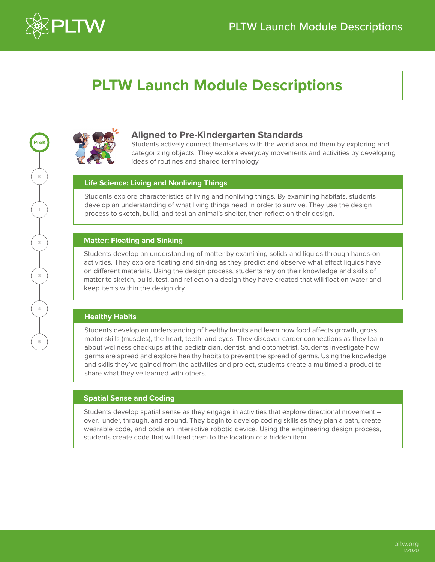

## **PLTW Launch Module Descriptions**



## **Aligned to Pre-Kindergarten Standards**

Students actively connect themselves with the world around them by exploring and categorizing objects. They explore everyday movements and activities by developing ideas of routines and shared terminology.

## **Life Science: Living and Nonliving Things**

Students explore characteristics of living and nonliving things. By examining habitats, students develop an understanding of what living things need in order to survive. They use the design process to sketch, build, and test an animal's shelter, then reflect on their design.

## **Matter: Floating and Sinking**

Students develop an understanding of matter by examining solids and liquids through hands-on activities. They explore floating and sinking as they predict and observe what effect liquids have on different materials. Using the design process, students rely on their knowledge and skills of matter to sketch, build, test, and reflect on a design they have created that will float on water and keep items within the design dry.

## **Healthy Habits**

Students develop an understanding of healthy habits and learn how food affects growth, gross motor skills (muscles), the heart, teeth, and eyes. They discover career connections as they learn about wellness checkups at the pediatrician, dentist, and optometrist. Students investigate how germs are spread and explore healthy habits to prevent the spread of germs. Using the knowledge and skills they've gained from the activities and project, students create a multimedia product to share what they've learned with others.

## **Spatial Sense and Coding**

Students develop spatial sense as they engage in activities that explore directional movement – over, under, through, and around. They begin to develop coding skills as they plan a path, create wearable code, and code an interactive robotic device. Using the engineering design process, students create code that will lead them to the location of a hidden item.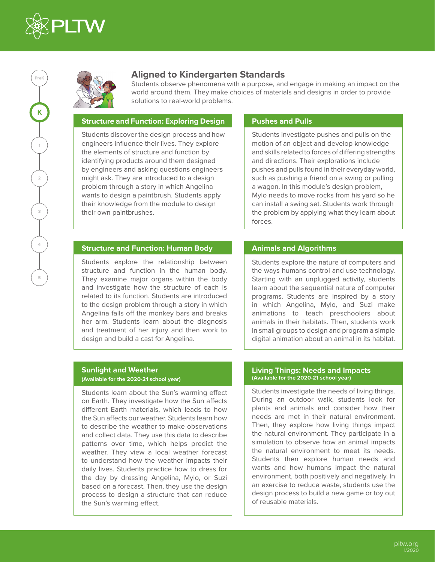

**K K**

**2**

**3**

 $\left(\begin{array}{c} 1 \\ 1 \end{array}\right)$ 

**4**

**5**

**PreK**

## **Aligned to Kindergarten Standards**

Students observe phenomena with a purpose, and engage in making an impact on the world around them. They make choices of materials and designs in order to provide solutions to real-world problems.

## **Structure and Function: Exploring Design**

Students discover the design process and how engineers influence their lives. They explore the elements of structure and function by identifying products around them designed by engineers and asking questions engineers might ask. They are introduced to a design problem through a story in which Angelina wants to design a paintbrush. Students apply their knowledge from the module to design their own paintbrushes.

## **Pushes and Pulls**

Students investigate pushes and pulls on the motion of an object and develop knowledge and skills related to forces of differing strengths and directions. Their explorations include pushes and pulls found in their everyday world, such as pushing a friend on a swing or pulling a wagon. In this module's design problem, Mylo needs to move rocks from his yard so he can install a swing set. Students work through the problem by applying what they learn about forces.

## **Structure and Function: Human Body**

Students explore the relationship between structure and function in the human body. They examine major organs within the body and investigate how the structure of each is related to its function. Students are introduced to the design problem through a story in which Angelina falls off the monkey bars and breaks her arm. Students learn about the diagnosis and treatment of her injury and then work to design and build a cast for Angelina.

#### **Sunlight and Weather (Available for the 2020-21 school year)**

Students learn about the Sun's warming effect on Earth. They investigate how the Sun affects different Earth materials, which leads to how the Sun affects our weather. Students learn how to describe the weather to make observations and collect data. They use this data to describe patterns over time, which helps predict the weather. They view a local weather forecast to understand how the weather impacts their daily lives. Students practice how to dress for the day by dressing Angelina, Mylo, or Suzi based on a forecast. Then, they use the design process to design a structure that can reduce the Sun's warming effect.

## **Animals and Algorithms**

Students explore the nature of computers and the ways humans control and use technology. Starting with an unplugged activity, students learn about the sequential nature of computer programs. Students are inspired by a story in which Angelina, Mylo, and Suzi make animations to teach preschoolers about animals in their habitats. Then, students work in small groups to design and program a simple digital animation about an animal in its habitat.

#### **Living Things: Needs and Impacts (Available for the 2020-21 school year)**

Students investigate the needs of living things. During an outdoor walk, students look for plants and animals and consider how their needs are met in their natural environment. Then, they explore how living things impact the natural environment. They participate in a simulation to observe how an animal impacts the natural environment to meet its needs. Students then explore human needs and wants and how humans impact the natural environment, both positively and negatively. In an exercise to reduce waste, students use the design process to build a new game or toy out of reusable materials.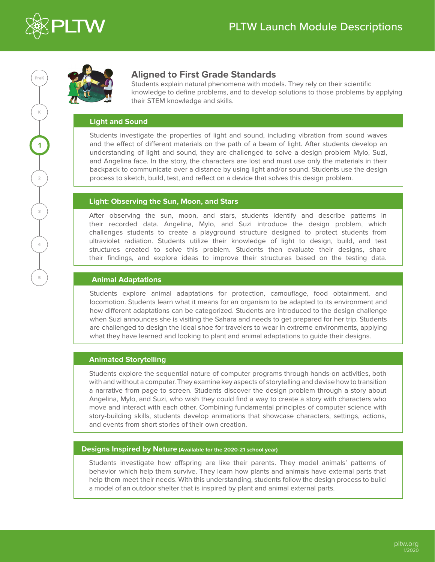



## **Aligned to First Grade Standards**

Students explain natural phenomena with models. They rely on their scientific knowledge to define problems, and to develop solutions to those problems by applying their STEM knowledge and skills.

## **Light and Sound**

Students investigate the properties of light and sound, including vibration from sound waves and the effect of different materials on the path of a beam of light. After students develop an understanding of light and sound, they are challenged to solve a design problem Mylo, Suzi, and Angelina face. In the story, the characters are lost and must use only the materials in their backpack to communicate over a distance by using light and/or sound. Students use the design process to sketch, build, test, and reflect on a device that solves this design problem.

## **Light: Observing the Sun, Moon, and Stars**

After observing the sun, moon, and stars, students identify and describe patterns in their recorded data. Angelina, Mylo, and Suzi introduce the design problem, which challenges students to create a playground structure designed to protect students from ultraviolet radiation. Students utilize their knowledge of light to design, build, and test structures created to solve this problem. Students then evaluate their designs, share their findings, and explore ideas to improve their structures based on the testing data.

## **Animal Adaptations**

Students explore animal adaptations for protection, camouflage, food obtainment, and locomotion. Students learn what it means for an organism to be adapted to its environment and how different adaptations can be categorized. Students are introduced to the design challenge when Suzi announces she is visiting the Sahara and needs to get prepared for her trip. Students are challenged to design the ideal shoe for travelers to wear in extreme environments, applying what they have learned and looking to plant and animal adaptations to guide their designs.

## **Animated Storytelling**

Students explore the sequential nature of computer programs through hands-on activities, both with and without a computer. They examine key aspects of storytelling and devise how to transition a narrative from page to screen. Students discover the design problem through a story about Angelina, Mylo, and Suzi, who wish they could find a way to create a story with characters who move and interact with each other. Combining fundamental principles of computer science with story-building skills, students develop animations that showcase characters, settings, actions, and events from short stories of their own creation.

## **Designs Inspired by Nature (Available for the 2020-21 school year)**

Students investigate how offspring are like their parents. They model animals' patterns of behavior which help them survive. They learn how plants and animals have external parts that help them meet their needs. With this understanding, students follow the design process to build a model of an outdoor shelter that is inspired by plant and animal external parts.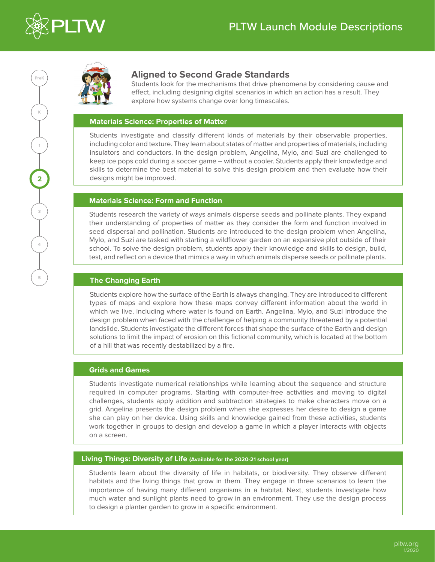



## **Aligned to Second Grade Standards**

Students look for the mechanisms that drive phenomena by considering cause and effect, including designing digital scenarios in which an action has a result. They explore how systems change over long timescales.

## **Materials Science: Properties of Matter**

Students investigate and classify different kinds of materials by their observable properties, including color and texture. They learn about states of matter and properties of materials, including insulators and conductors. In the design problem, Angelina, Mylo, and Suzi are challenged to keep ice pops cold during a soccer game – without a cooler. Students apply their knowledge and skills to determine the best material to solve this design problem and then evaluate how their designs might be improved.

## **Materials Science: Form and Function**

Students research the variety of ways animals disperse seeds and pollinate plants. They expand their understanding of properties of matter as they consider the form and function involved in seed dispersal and pollination. Students are introduced to the design problem when Angelina, Mylo, and Suzi are tasked with starting a wildflower garden on an expansive plot outside of their school. To solve the design problem, students apply their knowledge and skills to design, build, test, and reflect on a device that mimics a way in which animals disperse seeds or pollinate plants.

## **The Changing Earth**

Students explore how the surface of the Earth is always changing. They are introduced to different types of maps and explore how these maps convey different information about the world in which we live, including where water is found on Earth. Angelina, Mylo, and Suzi introduce the design problem when faced with the challenge of helping a community threatened by a potential landslide. Students investigate the different forces that shape the surface of the Earth and design solutions to limit the impact of erosion on this fictional community, which is located at the bottom of a hill that was recently destabilized by a fire.

## **Grids and Games**

Students investigate numerical relationships while learning about the sequence and structure required in computer programs. Starting with computer-free activities and moving to digital challenges, students apply addition and subtraction strategies to make characters move on a grid. Angelina presents the design problem when she expresses her desire to design a game she can play on her device. Using skills and knowledge gained from these activities, students work together in groups to design and develop a game in which a player interacts with objects on a screen.

## **Living Things: Diversity of Life (Available for the 2020-21 school year)**

Students learn about the diversity of life in habitats, or biodiversity. They observe different habitats and the living things that grow in them. They engage in three scenarios to learn the importance of having many different organisms in a habitat. Next, students investigate how much water and sunlight plants need to grow in an environment. They use the design process to design a planter garden to grow in a specific environment.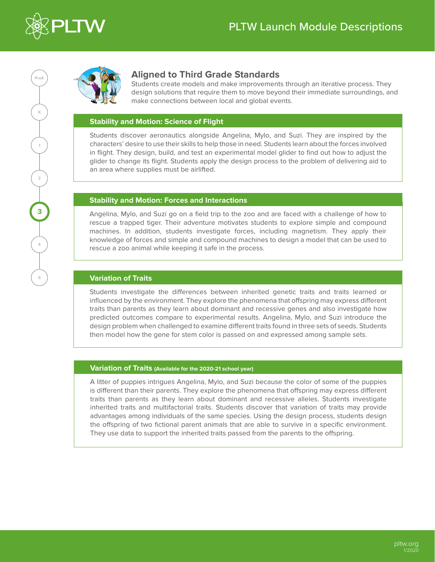



## **Aligned to Third Grade Standards**

Students create models and make improvements through an iterative process. They design solutions that require them to move beyond their immediate surroundings, and make connections between local and global events.

## **Stability and Motion: Science of Flight**

Students discover aeronautics alongside Angelina, Mylo, and Suzi. They are inspired by the characters' desire to use their skills to help those in need. Students learn about the forces involved in flight. They design, build, and test an experimental model glider to find out how to adjust the glider to change its flight. Students apply the design process to the problem of delivering aid to an area where supplies must be airlifted.

## **Stability and Motion: Forces and Interactions**

Angelina, Mylo, and Suzi go on a field trip to the zoo and are faced with a challenge of how to rescue a trapped tiger. Their adventure motivates students to explore simple and compound machines. In addition, students investigate forces, including magnetism. They apply their knowledge of forces and simple and compound machines to design a model that can be used to rescue a zoo animal while keeping it safe in the process.

## **Variation of Traits**

Students investigate the differences between inherited genetic traits and traits learned or influenced by the environment. They explore the phenomena that offspring may express different traits than parents as they learn about dominant and recessive genes and also investigate how predicted outcomes compare to experimental results. Angelina, Mylo, and Suzi introduce the design problem when challenged to examine different traits found in three sets of seeds. Students then model how the gene for stem color is passed on and expressed among sample sets.

## **Variation of Traits (Available for the 2020-21 school year)**

A litter of puppies intrigues Angelina, Mylo, and Suzi because the color of some of the puppies is different than their parents. They explore the phenomena that offspring may express different traits than parents as they learn about dominant and recessive alleles. Students investigate inherited traits and multifactorial traits. Students discover that variation of traits may provide advantages among individuals of the same species. Using the design process, students design the offspring of two fictional parent animals that are able to survive in a specific environment. They use data to support the inherited traits passed from the parents to the offspring.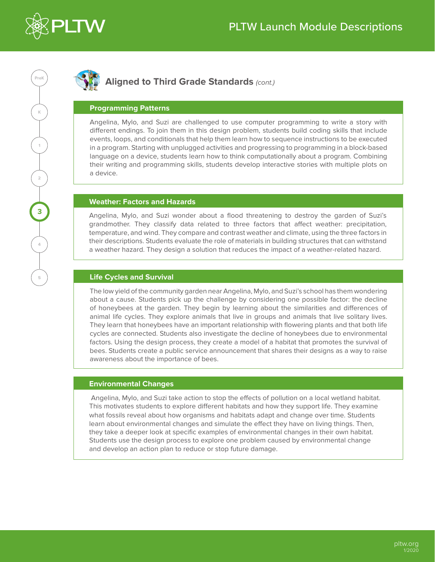

# **K PreK 1**<br>
—<br>
— **4 1 3 35**

## **Aligned to Third Grade Standards** *(cont.)*

## **Programming Patterns**

Angelina, Mylo, and Suzi are challenged to use computer programming to write a story with different endings. To join them in this design problem, students build coding skills that include events, loops, and conditionals that help them learn how to sequence instructions to be executed in a program. Starting with unplugged activities and progressing to programming in a block-based language on a device, students learn how to think computationally about a program. Combining their writing and programming skills, students develop interactive stories with multiple plots on a device.

## **Weather: Factors and Hazards**

Angelina, Mylo, and Suzi wonder about a flood threatening to destroy the garden of Suzi's grandmother. They classify data related to three factors that affect weather: precipitation, temperature, and wind. They compare and contrast weather and climate, using the three factors in their descriptions. Students evaluate the role of materials in building structures that can withstand a weather hazard. They design a solution that reduces the impact of a weather-related hazard.

## **Life Cycles and Survival**

The low yield of the community garden near Angelina, Mylo, and Suzi's school has them wondering about a cause. Students pick up the challenge by considering one possible factor: the decline of honeybees at the garden. They begin by learning about the similarities and differences of animal life cycles. They explore animals that live in groups and animals that live solitary lives. They learn that honeybees have an important relationship with flowering plants and that both life cycles are connected. Students also investigate the decline of honeybees due to environmental factors. Using the design process, they create a model of a habitat that promotes the survival of bees. Students create a public service announcement that shares their designs as a way to raise awareness about the importance of bees.

## **Environmental Changes**

 Angelina, Mylo, and Suzi take action to stop the effects of pollution on a local wetland habitat. This motivates students to explore different habitats and how they support life. They examine what fossils reveal about how organisms and habitats adapt and change over time. Students learn about environmental changes and simulate the effect they have on living things. Then, they take a deeper look at specific examples of environmental changes in their own habitat. Students use the design process to explore one problem caused by environmental change and develop an action plan to reduce or stop future damage.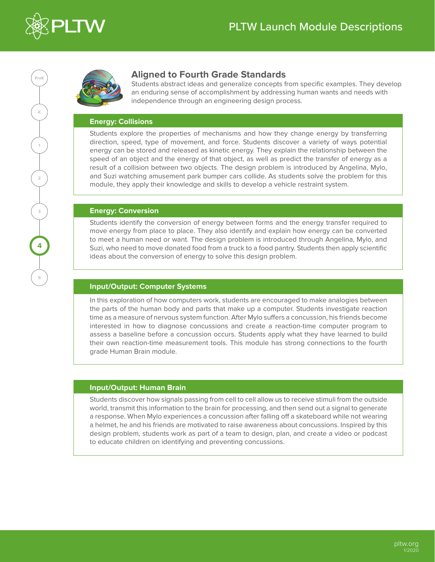



## **Aligned to Fourth Grade Standards**

Students abstract ideas and generalize concepts from specific examples. They develop an enduring sense of accomplishment by addressing human wants and needs with independence through an engineering design process.

## **Energy: Collisions**

Students explore the properties of mechanisms and how they change energy by transferring direction, speed, type of movement, and force. Students discover a variety of ways potential energy can be stored and released as kinetic energy. They explain the relationship between the speed of an object and the energy of that object, as well as predict the transfer of energy as a result of a collision between two objects. The design problem is introduced by Angelina, Mylo, and Suzi watching amusement park bumper cars collide. As students solve the problem for this module, they apply their knowledge and skills to develop a vehicle restraint system.

## **Energy: Conversion**

Students identify the conversion of energy between forms and the energy transfer required to move energy from place to place. They also identify and explain how energy can be converted to meet a human need or want. The design problem is introduced through Angelina, Mylo, and Suzi, who need to move donated food from a truck to a food pantry. Students then apply scientific ideas about the conversion of energy to solve this design problem.

## **Input/Output: Computer Systems**

In this exploration of how computers work, students are encouraged to make analogies between the parts of the human body and parts that make up a computer. Students investigate reaction time as a measure of nervous system function. After Mylo suffers a concussion, his friends become interested in how to diagnose concussions and create a reaction-time computer program to assess a baseline before a concussion occurs. Students apply what they have learned to build their own reaction-time measurement tools. This module has strong connections to the fourth grade Human Brain module.

## **Input/Output: Human Brain**

Students discover how signals passing from cell to cell allow us to receive stimuli from the outside world, transmit this information to the brain for processing, and then send out a signal to generate a response. When Mylo experiences a concussion after falling off a skateboard while not wearing a helmet, he and his friends are motivated to raise awareness about concussions. Inspired by this design problem, students work as part of a team to design, plan, and create a video or podcast to educate children on identifying and preventing concussions.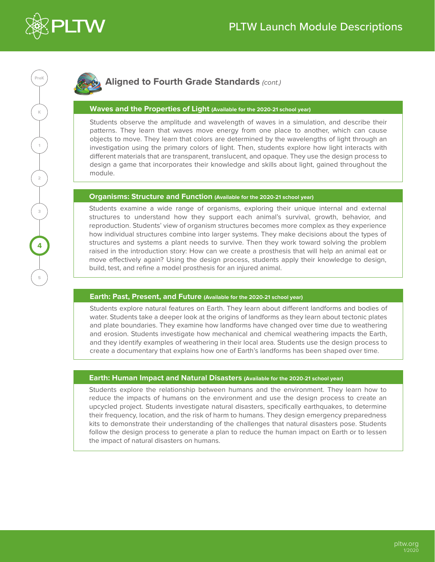

# **K PreK 2 4 41 3 5**

## **Aligned to Fourth Grade Standards** *(cont.)*

## **Waves and the Properties of Light (Available for the 2020-21 school year)**

Students observe the amplitude and wavelength of waves in a simulation, and describe their patterns. They learn that waves move energy from one place to another, which can cause objects to move. They learn that colors are determined by the wavelengths of light through an investigation using the primary colors of light. Then, students explore how light interacts with different materials that are transparent, translucent, and opaque. They use the design process to design a game that incorporates their knowledge and skills about light, gained throughout the module.

## **Organisms: Structure and Function (Available for the 2020-21 school year)**

Students examine a wide range of organisms, exploring their unique internal and external structures to understand how they support each animal's survival, growth, behavior, and reproduction. Students' view of organism structures becomes more complex as they experience how individual structures combine into larger systems. They make decisions about the types of structures and systems a plant needs to survive. Then they work toward solving the problem raised in the introduction story: How can we create a prosthesis that will help an animal eat or move effectively again? Using the design process, students apply their knowledge to design, build, test, and refine a model prosthesis for an injured animal.

## **Earth: Past, Present, and Future (Available for the 2020-21 school year)**

Students explore natural features on Earth. They learn about different landforms and bodies of water. Students take a deeper look at the origins of landforms as they learn about tectonic plates and plate boundaries. They examine how landforms have changed over time due to weathering and erosion. Students investigate how mechanical and chemical weathering impacts the Earth, and they identify examples of weathering in their local area. Students use the design process to create a documentary that explains how one of Earth's landforms has been shaped over time.

## **Earth: Human Impact and Natural Disasters (Available for the 2020-21 school year)**

Students explore the relationship between humans and the environment. They learn how to reduce the impacts of humans on the environment and use the design process to create an upcycled project. Students investigate natural disasters, specifically earthquakes, to determine their frequency, location, and the risk of harm to humans. They design emergency preparedness kits to demonstrate their understanding of the challenges that natural disasters pose. Students follow the design process to generate a plan to reduce the human impact on Earth or to lessen the impact of natural disasters on humans.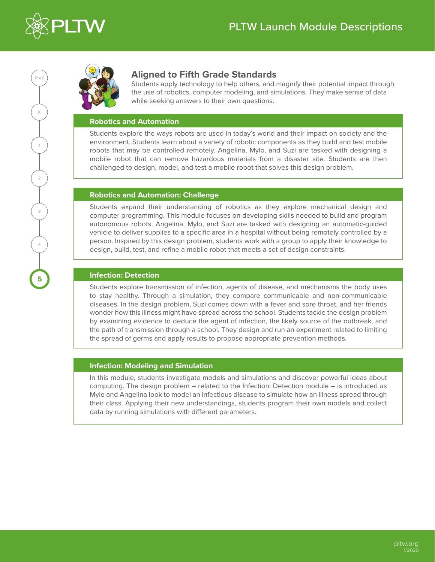



## **Aligned to Fifth Grade Standards**

Students apply technology to help others, and magnify their potential impact through the use of robotics, computer modeling, and simulations. They make sense of data while seeking answers to their own questions.

## **Robotics and Automation**

Students explore the ways robots are used in today's world and their impact on society and the environment. Students learn about a variety of robotic components as they build and test mobile robots that may be controlled remotely. Angelina, Mylo, and Suzi are tasked with designing a mobile robot that can remove hazardous materials from a disaster site. Students are then challenged to design, model, and test a mobile robot that solves this design problem.

## **Robotics and Automation: Challenge**

Students expand their understanding of robotics as they explore mechanical design and computer programming. This module focuses on developing skills needed to build and program autonomous robots. Angelina, Mylo, and Suzi are tasked with designing an automatic-guided vehicle to deliver supplies to a specific area in a hospital without being remotely controlled by a person. Inspired by this design problem, students work with a group to apply their knowledge to design, build, test, and refine a mobile robot that meets a set of design constraints.

## **Infection: Detection**

Students explore transmission of infection, agents of disease, and mechanisms the body uses to stay healthy. Through a simulation, they compare communicable and non-communicable diseases. In the design problem, Suzi comes down with a fever and sore throat, and her friends wonder how this illness might have spread across the school. Students tackle the design problem by examining evidence to deduce the agent of infection, the likely source of the outbreak, and the path of transmission through a school. They design and run an experiment related to limiting the spread of germs and apply results to propose appropriate prevention methods.

## **Infection: Modeling and Simulation**

In this module, students investigate models and simulations and discover powerful ideas about computing. The design problem – related to the Infection: Detection module – is introduced as Mylo and Angelina look to model an infectious disease to simulate how an illness spread through their class. Applying their new understandings, students program their own models and collect data by running simulations with different parameters.